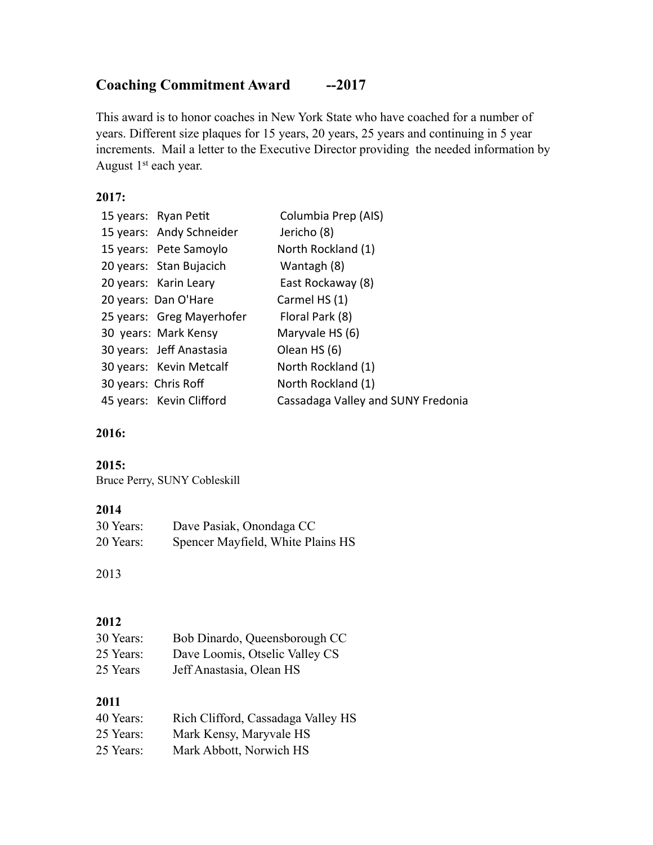# **Coaching Commitment Award --2017**

This award is to honor coaches in New York State who have coached for a number of years. Different size plaques for 15 years, 20 years, 25 years and continuing in 5 year increments. Mail a letter to the Executive Director providing the needed information by August 1<sup>st</sup> each year.

### **2017:**

| Columbia Prep (AIS)                                                                                                                                                                                                                                                                                                    |
|------------------------------------------------------------------------------------------------------------------------------------------------------------------------------------------------------------------------------------------------------------------------------------------------------------------------|
| Jericho (8)                                                                                                                                                                                                                                                                                                            |
| North Rockland (1)                                                                                                                                                                                                                                                                                                     |
| Wantagh (8)                                                                                                                                                                                                                                                                                                            |
| East Rockaway (8)                                                                                                                                                                                                                                                                                                      |
| Carmel HS (1)                                                                                                                                                                                                                                                                                                          |
| Floral Park (8)                                                                                                                                                                                                                                                                                                        |
| Maryvale HS (6)                                                                                                                                                                                                                                                                                                        |
| Olean HS (6)                                                                                                                                                                                                                                                                                                           |
| North Rockland (1)                                                                                                                                                                                                                                                                                                     |
| North Rockland (1)                                                                                                                                                                                                                                                                                                     |
| Cassadaga Valley and SUNY Fredonia                                                                                                                                                                                                                                                                                     |
| 15 years: Ryan Petit<br>15 years: Andy Schneider<br>15 years: Pete Samoylo<br>20 years: Stan Bujacich<br>20 years: Karin Leary<br>20 years: Dan O'Hare<br>25 years: Greg Mayerhofer<br>30 years: Mark Kensy<br>30 years: Jeff Anastasia<br>30 years: Kevin Metcalf<br>30 years: Chris Roff<br>45 years: Kevin Clifford |

### **2016:**

### **2015:**

Bruce Perry, SUNY Cobleskill

### **2014**

| 30 Years: | Dave Pasiak, Onondaga CC          |
|-----------|-----------------------------------|
| 20 Years: | Spencer Mayfield, White Plains HS |

### 2013

### **2012**

| 30 Years: | Bob Dinardo, Queensborough CC  |
|-----------|--------------------------------|
| 25 Years: | Dave Loomis, Otselic Valley CS |
| 25 Years  | Jeff Anastasia, Olean HS       |

### **2011**

| 40 Years: | Rich Clifford, Cassadaga Valley HS |
|-----------|------------------------------------|
| 25 Years: | Mark Kensy, Maryvale HS            |
| 25 Years: | Mark Abbott, Norwich HS            |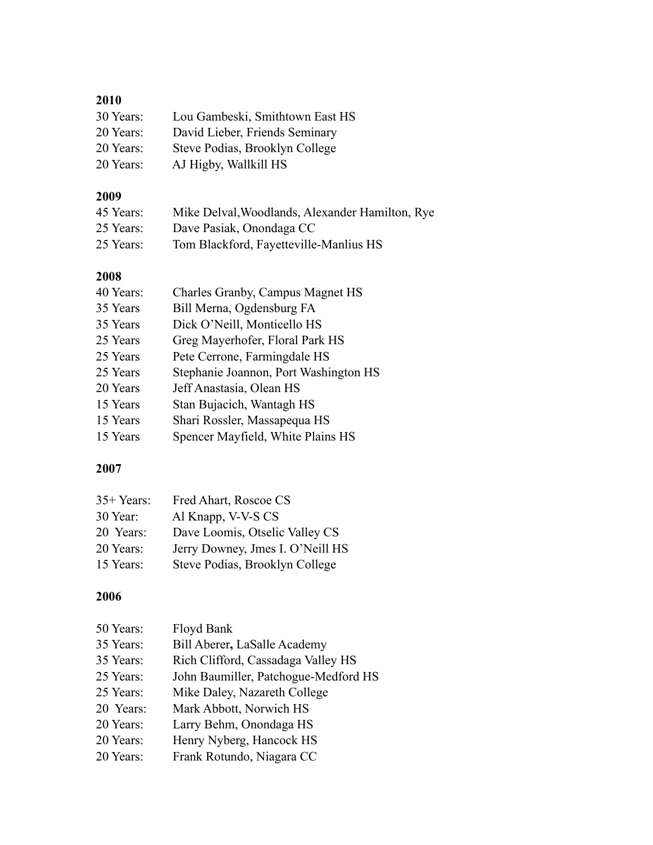| Lou Gambeski, Smithtown East HS |
|---------------------------------|
| David Lieber, Friends Seminary  |
| Steve Podias, Brooklyn College  |
| AJ Higby, Wallkill HS           |
|                                 |

## **2009**

| 45 Years: | Mike Delval, Woodlands, Alexander Hamilton, Rye |
|-----------|-------------------------------------------------|
| 25 Years: | Dave Pasiak, Onondaga CC                        |
| 25 Years: | Tom Blackford, Fayetteville-Manlius HS          |

| 2008      |                                       |
|-----------|---------------------------------------|
| 40 Years: | Charles Granby, Campus Magnet HS      |
| 35 Years  | Bill Merna, Ogdensburg FA             |
| 35 Years  | Dick O'Neill, Monticello HS           |
| 25 Years  | Greg Mayerhofer, Floral Park HS       |
| 25 Years  | Pete Cerrone, Farmingdale HS          |
| 25 Years  | Stephanie Joannon, Port Washington HS |
| 20 Years  | Jeff Anastasia, Olean HS              |
| 15 Years  | Stan Bujacich, Wantagh HS             |
| 15 Years  | Shari Rossler, Massapequa HS          |
| 15 Years  | Spencer Mayfield, White Plains HS     |

### **2007**

| $35+Years:$ | Fred Ahart, Roscoe CS            |
|-------------|----------------------------------|
| 30 Year:    | Al Knapp, V-V-S CS               |
| 20 Years:   | Dave Loomis, Otselic Valley CS   |
| 20 Years:   | Jerry Downey, Jmes I. O'Neill HS |
| 15 Years:   | Steve Podias, Brooklyn College   |

### **2006**

| Floyd Bank                                                                                                        |
|-------------------------------------------------------------------------------------------------------------------|
| Bill Aberer, LaSalle Academy                                                                                      |
| Rich Clifford, Cassadaga Valley HS                                                                                |
| John Baumiller, Patchogue-Medford HS                                                                              |
| Mike Daley, Nazareth College                                                                                      |
| Mark Abbott, Norwich HS                                                                                           |
| Larry Behm, Onondaga HS                                                                                           |
| Henry Nyberg, Hancock HS                                                                                          |
| Frank Rotundo, Niagara CC                                                                                         |
| 50 Years:<br>35 Years:<br>35 Years:<br>25 Years:<br>25 Years:<br>20 Years:<br>20 Years:<br>20 Years:<br>20 Years: |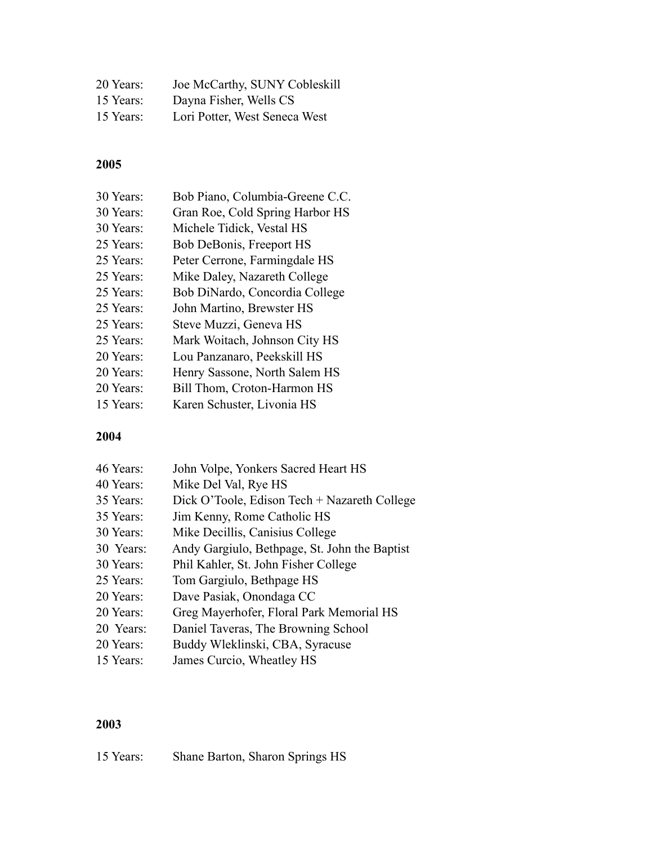| 20 Years: | Joe McCarthy, SUNY Cobleskill |
|-----------|-------------------------------|
| 15 Years: | Dayna Fisher, Wells CS        |
| 15 Years: | Lori Potter, West Seneca West |

| 30 Years: | Bob Piano, Columbia-Greene C.C. |
|-----------|---------------------------------|
| 30 Years: | Gran Roe, Cold Spring Harbor HS |
| 30 Years: | Michele Tidick, Vestal HS       |
| 25 Years: | Bob DeBonis, Freeport HS        |
| 25 Years: | Peter Cerrone, Farmingdale HS   |
| 25 Years: | Mike Daley, Nazareth College    |
| 25 Years: | Bob DiNardo, Concordia College  |
| 25 Years: | John Martino, Brewster HS       |
| 25 Years: | Steve Muzzi, Geneva HS          |
| 25 Years: | Mark Woitach, Johnson City HS   |
| 20 Years: | Lou Panzanaro, Peekskill HS     |
| 20 Years: | Henry Sassone, North Salem HS   |
| 20 Years: | Bill Thom, Croton-Harmon HS     |
| 15 Years: | Karen Schuster, Livonia HS      |
|           |                                 |

### **2004**

| 46 Years: | John Volpe, Yonkers Sacred Heart HS           |
|-----------|-----------------------------------------------|
| 40 Years: | Mike Del Val, Rye HS                          |
| 35 Years: | Dick O'Toole, Edison Tech + Nazareth College  |
| 35 Years: | Jim Kenny, Rome Catholic HS                   |
| 30 Years: | Mike Decillis, Canisius College               |
| 30 Years: | Andy Gargiulo, Bethpage, St. John the Baptist |
| 30 Years: | Phil Kahler, St. John Fisher College          |
| 25 Years: | Tom Gargiulo, Bethpage HS                     |
| 20 Years: | Dave Pasiak, Onondaga CC                      |
| 20 Years: | Greg Mayerhofer, Floral Park Memorial HS      |
| 20 Years: | Daniel Taveras, The Browning School           |
| 20 Years: | Buddy Wleklinski, CBA, Syracuse               |
| 15 Years: | James Curcio, Wheatley HS                     |
|           |                                               |

# **2003**

15 Years: Shane Barton, Sharon Springs HS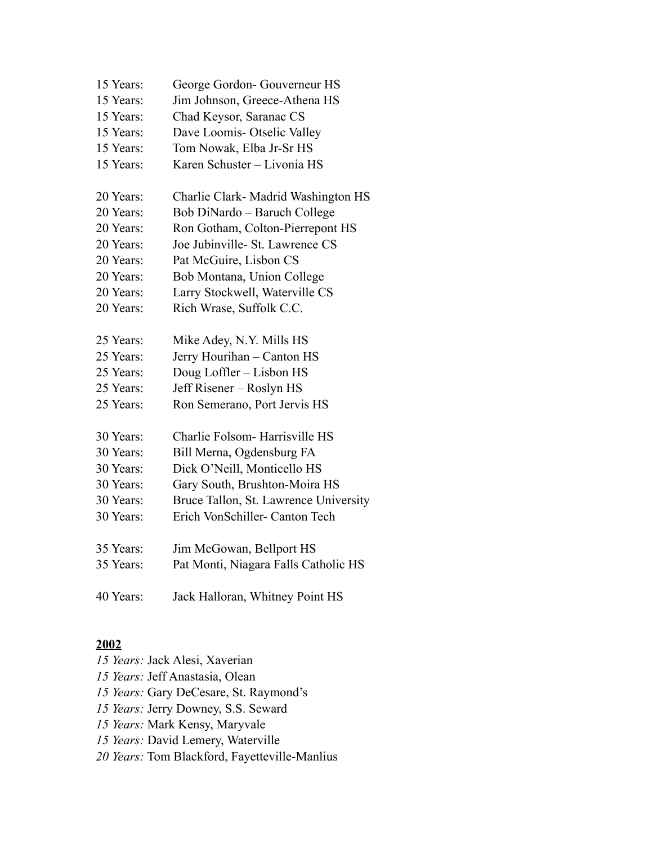| 15 Years: | George Gordon-Gouverneur HS           |
|-----------|---------------------------------------|
| 15 Years: | Jim Johnson, Greece-Athena HS         |
| 15 Years: | Chad Keysor, Saranac CS               |
| 15 Years: | Dave Loomis- Otselic Valley           |
| 15 Years: | Tom Nowak, Elba Jr-Sr HS              |
| 15 Years: | Karen Schuster - Livonia HS           |
| 20 Years: | Charlie Clark- Madrid Washington HS   |
| 20 Years: | Bob DiNardo - Baruch College          |
| 20 Years: | Ron Gotham, Colton-Pierrepont HS      |
| 20 Years: | Joe Jubinville- St. Lawrence CS       |
| 20 Years: | Pat McGuire, Lisbon CS                |
| 20 Years: | Bob Montana, Union College            |
| 20 Years: | Larry Stockwell, Waterville CS        |
| 20 Years: | Rich Wrase, Suffolk C.C.              |
| 25 Years: | Mike Adey, N.Y. Mills HS              |
| 25 Years: | Jerry Hourihan - Canton HS            |
| 25 Years: | Doug Loffler - Lisbon HS              |
| 25 Years: | Jeff Risener - Roslyn HS              |
| 25 Years: | Ron Semerano, Port Jervis HS          |
| 30 Years: | Charlie Folsom- Harrisville HS        |
| 30 Years: | Bill Merna, Ogdensburg FA             |
| 30 Years: | Dick O'Neill, Monticello HS           |
| 30 Years: | Gary South, Brushton-Moira HS         |
| 30 Years: | Bruce Tallon, St. Lawrence University |
| 30 Years: | Erich VonSchiller- Canton Tech        |
| 35 Years: | Jim McGowan, Bellport HS              |
| 35 Years: | Pat Monti, Niagara Falls Catholic HS  |
| 40 Years: | Jack Halloran, Whitney Point HS       |

*15 Years:* Jack Alesi, Xaverian *15 Years:* Jeff Anastasia, Olean *15 Years:* Gary DeCesare, St. Raymond's *15 Years:* Jerry Downey, S.S. Seward *15 Years:* Mark Kensy, Maryvale *15 Years:* David Lemery, Waterville *20 Years:* Tom Blackford, Fayetteville-Manlius